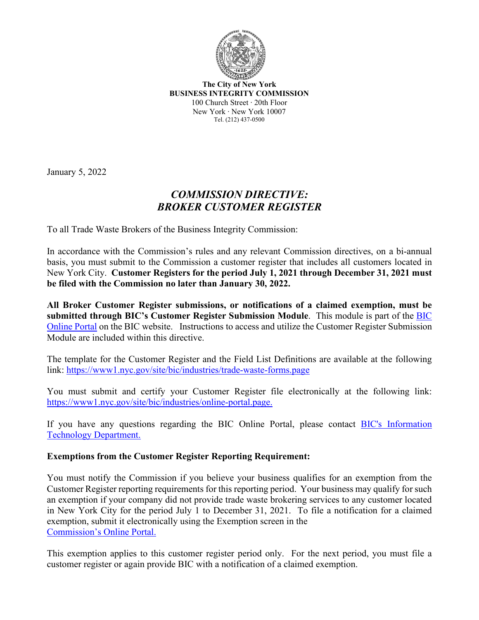

**The City of New York BUSINESS INTEGRITY COMMISSION** 100 Church Street ∙ 20th Floor New York ∙ New York 10007 Tel. (212) 437-0500

January 5, 2022

## *COMMISSION DIRECTIVE: BROKER CUSTOMER REGISTER*

To all Trade Waste Brokers of the Business Integrity Commission:

In accordance with the Commission's rules and any relevant Commission directives, on a bi-annual basis, you must submit to the Commission a customer register that includes all customers located in New York City. **Customer Registers for the period July 1, 2021 through December 31, 2021 must be filed with the Commission no later than January 30, 2022.** 

**All Broker Customer Register submissions, or notifications of a claimed exemption, must be submitted through BIC's Customer Register Submission Module**. This module is part of the [BIC](https://www1.nyc.gov/site/bic/industries/online-portal.page)  [Online Portal](https://www1.nyc.gov/site/bic/industries/online-portal.page) on the BIC website. Instructions to access and utilize the Customer Register Submission Module are included within this directive.

The template for the Customer Register and the Field List Definitions are available at the following link: [https://www1.nyc.gov/site/bic/industries/trade](https://www1.nyc.gov/site/bic/industries/trade-waste-forms.page)-waste-forms.page

You must submit and certify your Customer Register file electronically at the following link: [https://www1.nyc.gov/site/bic/industries/online](https://www1.nyc.gov/site/bic/industries/online-portal.page.)-portal.page.

If you have any questions regarding the BIC Online Portal, please contact [BIC's Information](https://www1.nyc.gov/site/bic/industries/portal-support-form.page)  [Technology Department.](https://www1.nyc.gov/site/bic/industries/portal-support-form.page)

## **Exemptions from the Customer Register Reporting Requirement:**

You must notify the Commission if you believe your business qualifies for an exemption from the Customer Register reporting requirements for this reporting period. Your business may qualify for such an exemption if your company did not provide trade waste brokering services to any customer located in New York City for the period July 1 to December 31, 2021. To file a notification for a claimed exemption, submit it electronically using the Exemption screen in the [Commission's Online Portal.](https://www1.nyc.gov/site/bic/industries/online-portal.page.)

This exemption applies to this customer register period only. For the next period, you must file a customer register or again provide BIC with a notification of a claimed exemption.